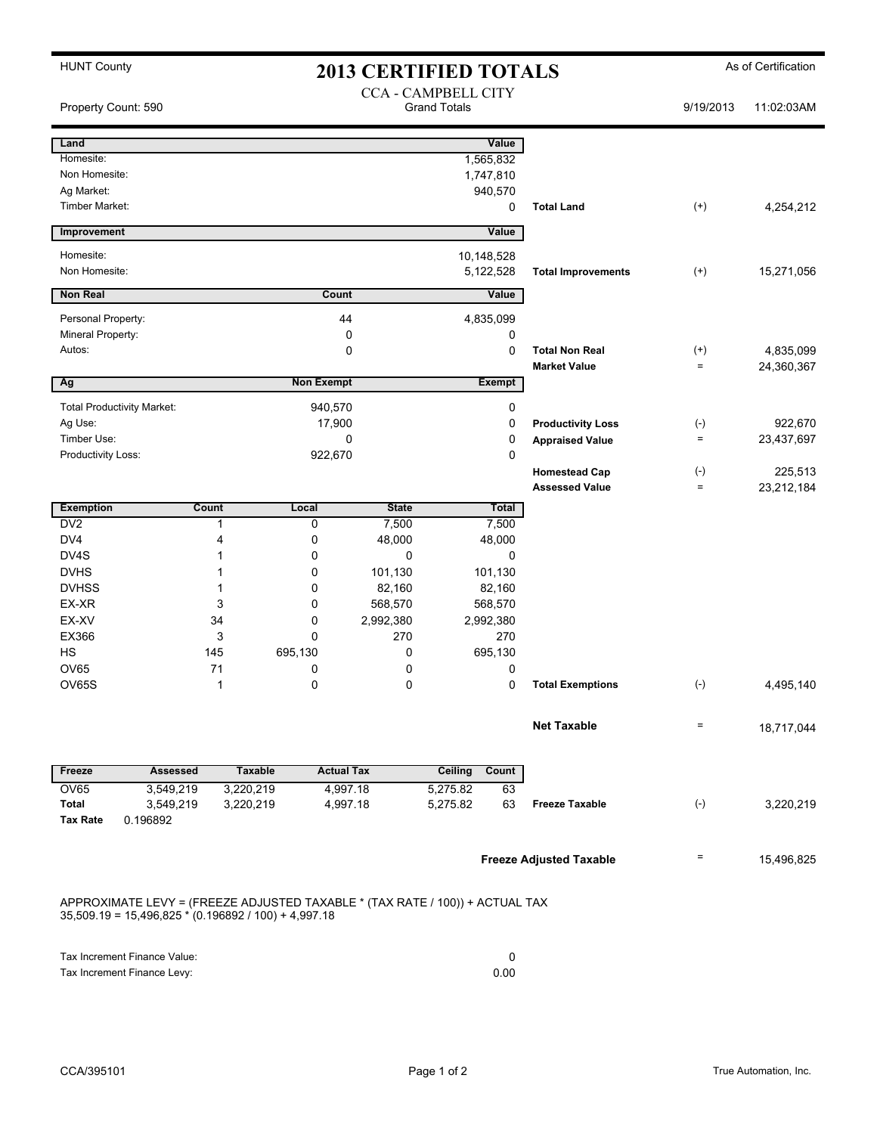| <b>HUNT County</b><br><b>2013 CERTIFIED TOTALS</b> |                                   |                        |                      |                                                   |                             |               |                                | As of Certification        |            |
|----------------------------------------------------|-----------------------------------|------------------------|----------------------|---------------------------------------------------|-----------------------------|---------------|--------------------------------|----------------------------|------------|
| Property Count: 590                                |                                   |                        |                      | <b>CCA - CAMPBELL CITY</b><br><b>Grand Totals</b> |                             |               |                                | 9/19/2013                  | 11:02:03AM |
| Land                                               |                                   |                        |                      |                                                   |                             | Value         |                                |                            |            |
| Homesite:                                          |                                   |                        |                      |                                                   |                             | 1,565,832     |                                |                            |            |
| Non Homesite:                                      |                                   |                        |                      |                                                   |                             | 1,747,810     |                                |                            |            |
| Ag Market:<br>Timber Market:                       |                                   |                        |                      |                                                   |                             | 940,570       |                                |                            |            |
|                                                    |                                   |                        |                      |                                                   |                             | 0             | <b>Total Land</b>              | $^{(+)}$                   | 4,254,212  |
| Improvement                                        |                                   |                        |                      |                                                   |                             | Value         |                                |                            |            |
| Homesite:                                          |                                   |                        |                      |                                                   |                             | 10,148,528    |                                |                            |            |
| Non Homesite:                                      |                                   |                        |                      |                                                   |                             | 5,122,528     | <b>Total Improvements</b>      | $^{(+)}$                   | 15,271,056 |
| <b>Non Real</b>                                    |                                   |                        | Count                |                                                   |                             | Value         |                                |                            |            |
| Personal Property:                                 |                                   |                        | 44                   |                                                   |                             | 4,835,099     |                                |                            |            |
| Mineral Property:                                  |                                   |                        | 0                    |                                                   | 0                           |               |                                |                            |            |
| Autos:                                             |                                   |                        | 0                    |                                                   |                             |               | <b>Total Non Real</b>          | $^{(+)}$                   | 4,835,099  |
|                                                    |                                   |                        |                      |                                                   |                             |               | <b>Market Value</b>            | $\equiv$                   | 24,360,367 |
| Ag                                                 |                                   |                        | <b>Non Exempt</b>    |                                                   |                             | <b>Exempt</b> |                                |                            |            |
|                                                    | <b>Total Productivity Market:</b> |                        | 940,570              |                                                   |                             | 0             |                                |                            |            |
| Ag Use:                                            |                                   | 17,900                 |                      |                                                   | 0                           |               | <b>Productivity Loss</b>       | $(\text{-})$               | 922,670    |
| Timber Use:                                        |                                   | 0                      |                      |                                                   | 0<br><b>Appraised Value</b> |               | $\equiv$                       | 23,437,697                 |            |
| Productivity Loss:                                 |                                   |                        | 922,670              |                                                   |                             | 0             |                                |                            |            |
|                                                    |                                   |                        |                      |                                                   |                             |               | <b>Homestead Cap</b>           | $(\text{-})$               | 225,513    |
|                                                    |                                   |                        |                      |                                                   |                             |               | <b>Assessed Value</b>          | $\equiv$                   | 23,212,184 |
| <b>Exemption</b>                                   |                                   | <b>Count</b>           | Local                | <b>State</b>                                      |                             | <b>Total</b>  |                                |                            |            |
| DV <sub>2</sub>                                    |                                   | 1                      | 0                    | 7,500                                             |                             | 7,500         |                                |                            |            |
| DV <sub>4</sub>                                    |                                   | 4                      | 0                    | 48,000                                            | 48,000                      |               |                                |                            |            |
| DV4S<br><b>DVHS</b>                                |                                   | 1<br>1                 | 0<br>0               | 0<br>101,130                                      | 0                           |               |                                |                            |            |
| <b>DVHSS</b>                                       |                                   | 1                      | 0                    | 82,160                                            | 101,130<br>82,160           |               |                                |                            |            |
| EX-XR                                              |                                   | 3                      | 0                    | 568,570                                           | 568,570                     |               |                                |                            |            |
| EX-XV                                              |                                   | 34                     | 0                    | 2,992,380                                         |                             | 2,992,380     |                                |                            |            |
| EX366                                              |                                   | 3                      | 0                    | 270                                               |                             | 270           |                                |                            |            |
| <b>HS</b>                                          |                                   | 145                    | 695,130<br>0         |                                                   | 695,130                     |               |                                |                            |            |
| <b>OV65</b>                                        |                                   | 71                     | 0                    | 0                                                 |                             | 0             |                                |                            |            |
| OV65S                                              |                                   | 1                      | 0                    | 0                                                 |                             | 0             | <b>Total Exemptions</b>        | $(-)$                      | 4,495,140  |
|                                                    |                                   |                        |                      |                                                   |                             |               |                                |                            |            |
|                                                    |                                   |                        |                      |                                                   |                             |               | <b>Net Taxable</b>             | $\quad \  \, =\quad \  \,$ | 18,717,044 |
|                                                    |                                   |                        |                      |                                                   |                             | Count         |                                |                            |            |
| Freeze                                             | <b>Assessed</b>                   | <b>Taxable</b>         | <b>Actual Tax</b>    |                                                   | Ceiling                     |               |                                |                            |            |
| OV65<br><b>Total</b>                               | 3,549,219<br>3,549,219            | 3,220,219<br>3,220,219 | 4,997.18<br>4,997.18 |                                                   | 5,275.82<br>5,275.82        | 63<br>63      | <b>Freeze Taxable</b>          | $(-)$                      | 3,220,219  |
| <b>Tax Rate</b>                                    | 0.196892                          |                        |                      |                                                   |                             |               |                                |                            |            |
|                                                    |                                   |                        |                      |                                                   |                             |               |                                |                            |            |
|                                                    |                                   |                        |                      |                                                   |                             |               |                                | $\equiv$                   | 15,496,825 |
|                                                    |                                   |                        |                      |                                                   |                             |               | <b>Freeze Adjusted Taxable</b> |                            |            |

APPROXIMATE LEVY = (FREEZE ADJUSTED TAXABLE \* (TAX RATE / 100)) + ACTUAL TAX 35,509.19 = 15,496,825 \* (0.196892 / 100) + 4,997.18

| Tax Increment Finance Value: |      |
|------------------------------|------|
| Tax Increment Finance Levy:  | 0.00 |